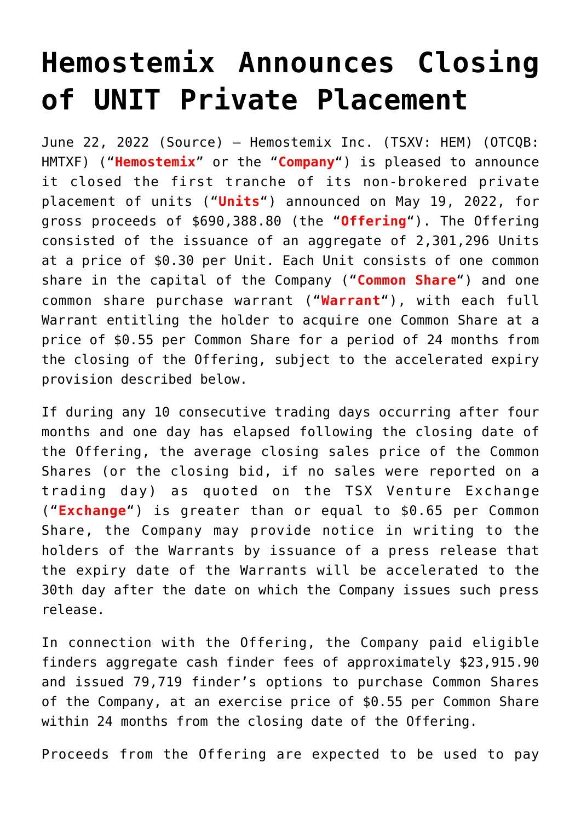## **[Hemostemix Announces Closing](https://investorintel.com/markets/biotech-healthcare/biotech-news/hemostemix-announces-closing-of-unit-private-placement-4/) [of UNIT Private Placement](https://investorintel.com/markets/biotech-healthcare/biotech-news/hemostemix-announces-closing-of-unit-private-placement-4/)**

June 22, 2022 ([Source](https://www.newsfilecorp.com/release/128643/Hemostemix-Announces-Closing-of-UNIT-Private-Placement)) – Hemostemix Inc. (TSXV: HEM) (OTCQB: HMTXF) ("**Hemostemix**" or the "**Company**") is pleased to announce it closed the first tranche of its non-brokered private placement of units ("**Units**") announced on May 19, 2022, for gross proceeds of \$690,388.80 (the "**Offering**"). The Offering consisted of the issuance of an aggregate of 2,301,296 Units at a price of \$0.30 per Unit. Each Unit consists of one common share in the capital of the Company ("**Common Share**") and one common share purchase warrant ("**Warrant**"), with each full Warrant entitling the holder to acquire one Common Share at a price of \$0.55 per Common Share for a period of 24 months from the closing of the Offering, subject to the accelerated expiry provision described below.

If during any 10 consecutive trading days occurring after four months and one day has elapsed following the closing date of the Offering, the average closing sales price of the Common Shares (or the closing bid, if no sales were reported on a trading day) as quoted on the TSX Venture Exchange ("**Exchange**") is greater than or equal to \$0.65 per Common Share, the Company may provide notice in writing to the holders of the Warrants by issuance of a press release that the expiry date of the Warrants will be accelerated to the 30th day after the date on which the Company issues such press release.

In connection with the Offering, the Company paid eligible finders aggregate cash finder fees of approximately \$23,915.90 and issued 79,719 finder's options to purchase Common Shares of the Company, at an exercise price of \$0.55 per Common Share within 24 months from the closing date of the Offering.

Proceeds from the Offering are expected to be used to pay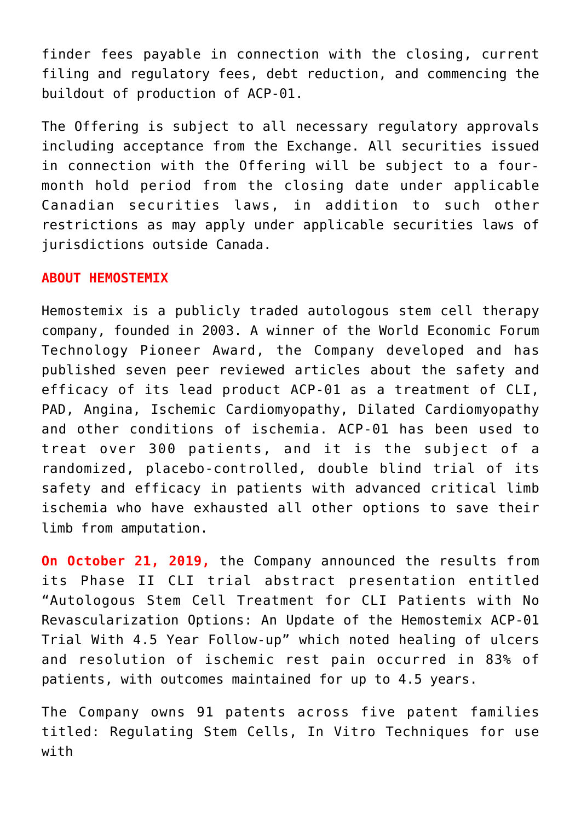finder fees payable in connection with the closing, current filing and regulatory fees, debt reduction, and commencing the buildout of production of ACP-01.

The Offering is subject to all necessary regulatory approvals including acceptance from the Exchange. All securities issued in connection with the Offering will be subject to a fourmonth hold period from the closing date under applicable Canadian securities laws, in addition to such other restrictions as may apply under applicable securities laws of jurisdictions outside Canada.

## **ABOUT HEMOSTEMIX**

Hemostemix is a publicly traded autologous stem cell therapy company, founded in 2003. A winner of the World Economic Forum Technology Pioneer Award, the Company developed and has published seven peer reviewed articles about the safety and efficacy of its lead product ACP-01 as a treatment of CLI, PAD, Angina, Ischemic Cardiomyopathy, Dilated Cardiomyopathy and other conditions of ischemia. ACP-01 has been used to treat over 300 patients, and it is the subject of a randomized, placebo-controlled, double blind trial of its safety and efficacy in patients with advanced critical limb ischemia who have exhausted all other options to save their limb from amputation.

**On October 21, 2019,** the Company announced the results from its Phase II CLI trial abstract presentation entitled "Autologous Stem Cell Treatment for CLI Patients with No Revascularization Options: An Update of the Hemostemix ACP-01 Trial With 4.5 Year Follow-up" which noted healing of ulcers and resolution of ischemic rest pain occurred in 83% of patients, with outcomes maintained for up to 4.5 years.

The Company owns 91 patents across five patent families titled: Regulating Stem Cells, In Vitro Techniques for use with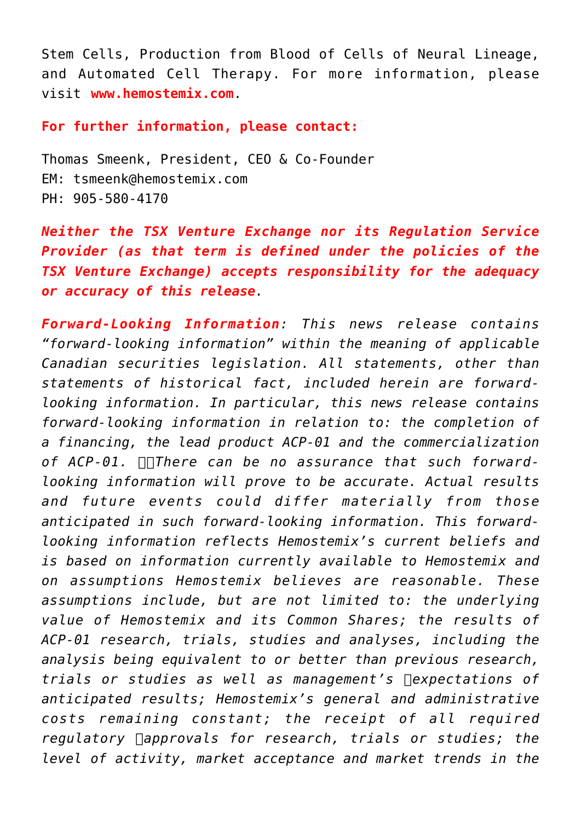Stem Cells, Production from Blood of Cells of Neural Lineage, and Automated Cell Therapy. For more information, please visit **[www.hemostemix.com](https://www.newsfilecorp.com/redirect/PM2ORi7vkN)**.

**For further information, please contact:**

Thomas Smeenk, President, CEO & Co-Founder EM: [tsmeenk@hemostemix.com](mailto:tsmeenk@hemostemix.com) PH: 905-580-4170

*Neither the TSX Venture Exchange nor its Regulation Service Provider (as that term is defined under the policies of the TSX Venture Exchange) accepts responsibility for the adequacy or accuracy of this release.*

*Forward-Looking Information: This news release contains "forward-looking information" within the meaning of applicable Canadian securities legislation. All statements, other than statements of historical fact, included herein are forwardlooking information. In particular, this news release contains forward-looking information in relation to: the completion of a financing, the lead product ACP-01 and the commercialization of ACP-01. There can be no assurance that such forwardlooking information will prove to be accurate. Actual results and future events could differ materially from those anticipated in such forward-looking information. This forwardlooking information reflects Hemostemix's current beliefs and is based on information currently available to Hemostemix and on assumptions Hemostemix believes are reasonable. These assumptions include, but are not limited to: the underlying value of Hemostemix and its Common Shares; the results of ACP-01 research, trials, studies and analyses, including the analysis being equivalent to or better than previous research,* trials or studies as well as management's  $\Box$ expectations of *anticipated results; Hemostemix's general and administrative costs remaining constant; the receipt of all required* regulatory  $\Box$ *approvals for research, trials or studies; the level of activity, market acceptance and market trends in the*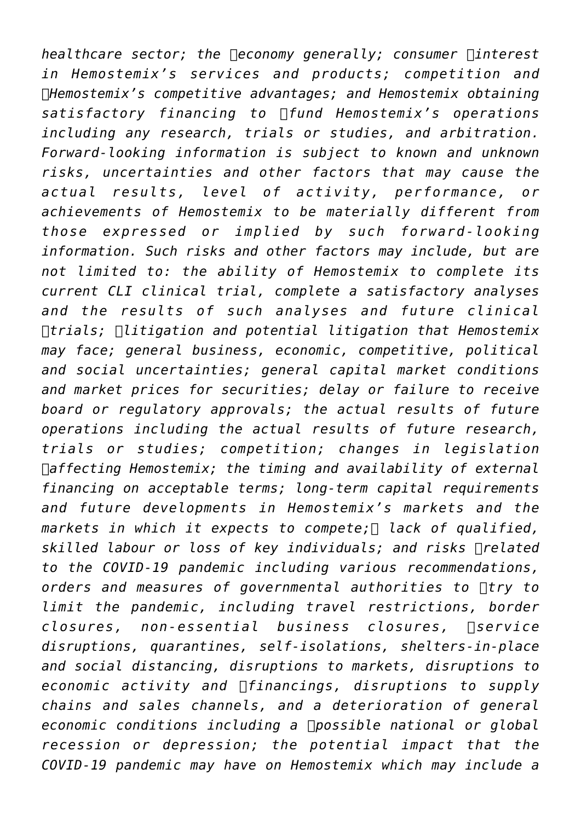*healthcare sector; the*  $\Box$ *economy generally; consumer*  $\Box$ *interest in Hemostemix's services and products; competition and Hemostemix's competitive advantages; and Hemostemix obtaining satisfactory financing to fund Hemostemix's operations including any research, trials or studies, and arbitration. Forward-looking information is subject to known and unknown risks, uncertainties and other factors that may cause the actual results, level of activity, performance, or achievements of Hemostemix to be materially different from those expressed or implied by such forward-looking information. Such risks and other factors may include, but are not limited to: the ability of Hemostemix to complete its current CLI clinical trial, complete a satisfactory analyses and the results of such analyses and future clinical trials; litigation and potential litigation that Hemostemix may face; general business, economic, competitive, political and social uncertainties; general capital market conditions and market prices for securities; delay or failure to receive board or regulatory approvals; the actual results of future operations including the actual results of future research, trials or studies; competition; changes in legislation affecting Hemostemix; the timing and availability of external financing on acceptable terms; long-term capital requirements and future developments in Hemostemix's markets and the markets in which it expects to compete; lack of qualified, skilled labour or loss of key individuals; and risks*  $\Box$  *related to the COVID-19 pandemic including various recommendations,* orders and measures of governmental authorities to  $\Box$ try to *limit the pandemic, including travel restrictions, border* closures, non-essential business closures,  $\Box$ service *disruptions, quarantines, self-isolations, shelters-in-place and social distancing, disruptions to markets, disruptions to economic activity and financings, disruptions to supply chains and sales channels, and a deterioration of general* economic conditions including a possible national or global *recession or depression; the potential impact that the COVID-19 pandemic may have on Hemostemix which may include a*